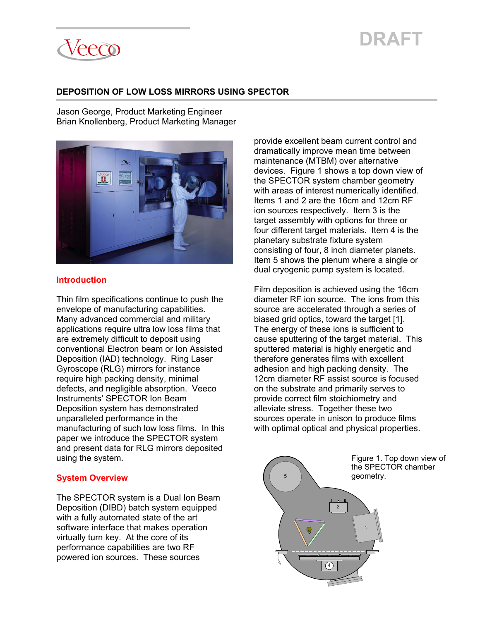#### **DEPOSITION OF LOW LOSS MIRRORS USING SPECTOR**

Jason George, Product Marketing Engineer Brian Knollenberg, Product Marketing Manager



#### **Introduction**

Thin film specifications continue to push the envelope of manufacturing capabilities. Many advanced commercial and military applications require ultra low loss films that are extremely difficult to deposit using conventional Electron beam or Ion Assisted Deposition (IAD) technology. Ring Laser Gyroscope (RLG) mirrors for instance require high packing density, minimal defects, and negligible absorption. Veeco Instruments' SPECTOR Ion Beam Deposition system has demonstrated unparalleled performance in the manufacturing of such low loss films. In this paper we introduce the SPECTOR system and present data for RLG mirrors deposited using the system.

#### **System Overview**

The SPECTOR system is a Dual Ion Beam Deposition (DIBD) batch system equipped with a fully automated state of the art software interface that makes operation virtually turn key. At the core of its performance capabilities are two RF powered ion sources. These sources

provide excellent beam current control and dramatically improve mean time between maintenance (MTBM) over alternative devices. Figure 1 shows a top down view of the SPECTOR system chamber geometry with areas of interest numerically identified. Items 1 and 2 are the 16cm and 12cm RF ion sources respectively. Item 3 is the target assembly with options for three or four different target materials. Item 4 is the planetary substrate fixture system consisting of four, 8 inch diameter planets. Item 5 shows the plenum where a single or dual cryogenic pump system is located.

Film deposition is achieved using the 16cm diameter RF ion source. The ions from this source are accelerated through a series of biased grid optics, toward the target [1]. The energy of these ions is sufficient to cause sputtering of the target material. This sputtered material is highly energetic and therefore generates films with excellent adhesion and high packing density. The 12cm diameter RF assist source is focused on the substrate and primarily serves to provide correct film stoichiometry and alleviate stress. Together these two sources operate in unison to produce films with optimal optical and physical properties.



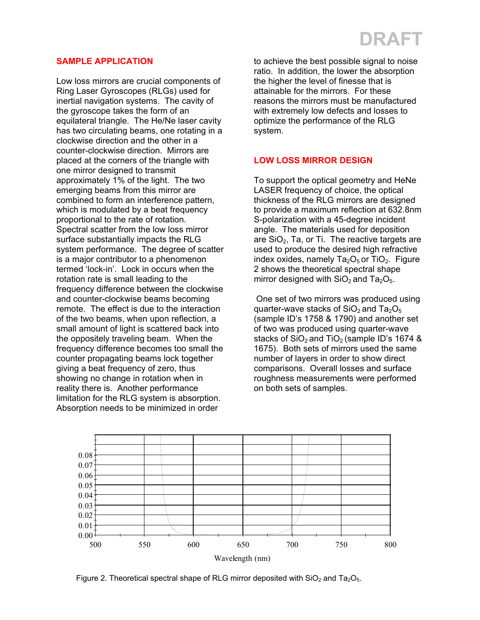#### **SAMPLE APPLICATION**

Low loss mirrors are crucial components of Ring Laser Gyroscopes (RLGs) used for inertial navigation systems. The cavity of the gyroscope takes the form of an equilateral triangle. The He/Ne laser cavity has two circulating beams, one rotating in a clockwise direction and the other in a counter-clockwise direction. Mirrors are placed at the corners of the triangle with one mirror designed to transmit approximately 1% of the light. The two emerging beams from this mirror are combined to form an interference pattern, which is modulated by a beat frequency proportional to the rate of rotation. Spectral scatter from the low loss mirror surface substantially impacts the RLG system performance. The degree of scatter is a major contributor to a phenomenon termed 'lock-in'. Lock in occurs when the rotation rate is small leading to the frequency difference between the clockwise and counter-clockwise beams becoming remote. The effect is due to the interaction of the two beams, when upon reflection, a small amount of light is scattered back into the oppositely traveling beam. When the frequency difference becomes too small the counter propagating beams lock together giving a beat frequency of zero, thus showing no change in rotation when in reality there is. Another performance limitation for the RLG system is absorption. Absorption needs to be minimized in order

to achieve the best possible signal to noise ratio. In addition, the lower the absorption the higher the level of finesse that is attainable for the mirrors. For these reasons the mirrors must be manufactured with extremely low defects and losses to optimize the performance of the RLG ystem. s

### **LOW LOSS MIRROR DESIGN**

To support the optical geometry and HeNe angle. The materials used for deposition are  $SiO<sub>2</sub>$ , Ta, or Ti. The reactive targets are used to produce the desired high refractive LASER frequency of choice, the optical thickness of the RLG mirrors are designed to provide a maximum reflection at 632.8nm S-polarization with a 45-degree incident index oxides, namely  $Ta<sub>2</sub>O<sub>5</sub>$  or TiO<sub>2</sub>. Figure 2 shows the theoretical spectral shape mirror designed with  $SiO<sub>2</sub>$  and Ta<sub>2</sub>O<sub>5</sub>.

(sample ID's 1758 & 1790) and another set 1675). Both sets of mirrors used the same number of layers in order to show direct comparisons. Overall losses and surface roughness measurements were performed on both sets of samples. One set of two mirrors was produced using quarter-wave stacks of  $SiO<sub>2</sub>$  and Ta<sub>2</sub>O<sub>5</sub> of two was produced using quarter-wave stacks of  $SiO<sub>2</sub>$  and TiO<sub>2</sub> (sample ID's 1674 &



Figure 2. Theoretical spectral shape of RLG mirror deposited with  $SiO<sub>2</sub>$  and Ta<sub>2</sub>O<sub>5</sub>.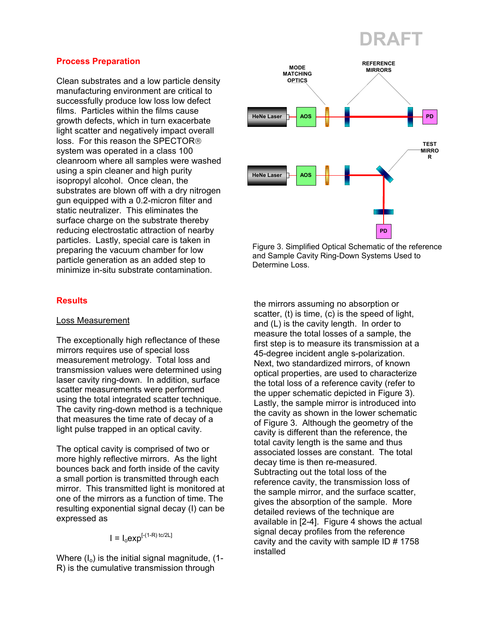#### **Process Preparation**

Clean substrates and a low particle density manufacturing environment are critical to successfully produce low loss low defect films. Particles within the films cause growth defects, which in turn exacerbate light scatter and negatively impact overall loss. For this reason the SPECTOR system was operated in a class 100 cleanroom where all samples were washed using a spin cleaner and high purity isopropyl alcohol. Once clean, the substrates are blown off with a dry nitrogen gun equipped with a 0.2-micron filter and static neutralizer. This eliminates the surface charge on the substrate thereby reducing electrostatic attraction of nearby particles. Lastly, special care is taken in preparing the vacuum chamber for low particle generation as an added step to minimize in-situ substrate contamination.

#### **Results**

#### Loss Measurement

The exceptionally high reflectance of these mirrors requires use of special loss measurement metrology. Total loss and transmission values were determined using laser cavity ring-down. In addition, surface scatter measurements were performed using the total integrated scatter technique. The cavity ring-down method is a technique that measures the time rate of decay of a light pulse trapped in an optical cavity.

The optical cavity is comprised of two or more highly reflective mirrors. As the light bounces back and forth inside of the cavity a small portion is transmitted through each mirror. This transmitted light is monitored at one of the mirrors as a function of time. The resulting exponential signal decay (I) can be expressed as

 $I = I_0 exp^{[-(1-R) \text{tc/2L}]}$ 

Where  $(I_0)$  is the initial signal magnitude,  $(1-I_0)$ R) is the cumulative transmission through



Figure 3. Simplified Optical Schematic of the reference and Sample Cavity Ring-Down Systems Used to Determine Loss.

the mirrors assuming no absorption or scatter, (t) is time, (c) is the speed of light, and (L) is the cavity length. In order to measure the total losses of a sample, the first step is to measure its transmission at a 45-degree incident angle s-polarization. Next, two standardized mirrors, of known optical properties, are used to characterize the total loss of a reference cavity (refer to the upper schematic depicted in Figure 3). Lastly, the sample mirror is introduced into the cavity as shown in the lower schematic of Figure 3. Although the geometry of the cavity is different than the reference, the total cavity length is the same and thus associated losses are constant. The total decay time is then re-measured. Subtracting out the total loss of the reference cavity, the transmission loss of the sample mirror, and the surface scatter, gives the absorption of the sample. More detailed reviews of the technique are available in [2-4]. Figure 4 shows the actual signal decay profiles from the reference cavity and the cavity with sample ID # 1758 installed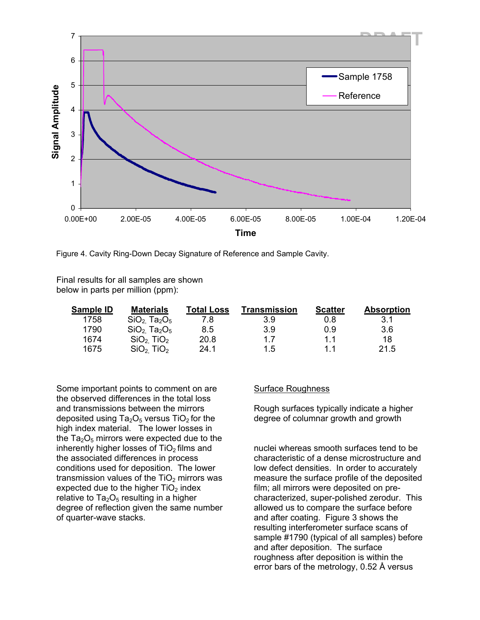

Figure 4. Cavity Ring-Down Decay Signature of Reference and Sample Cavity.

Final results for all samples are shown below in parts per million (ppm):

| Sample ID | <b>Materials</b>                  | Total Loss | Transmission | <b>Scatter</b> | <b>Absorption</b> |
|-----------|-----------------------------------|------------|--------------|----------------|-------------------|
| 1758      | $SiO2$ Ta <sub>2</sub> $O5$       |            | 3.9          | 0.8            | 3.1               |
| 1790      | $SiO2$ Ta <sub>2</sub> $O5$       | 8.5        | 3.9          | 0.9            | 3.6               |
| 1674      | SiO <sub>2</sub> TiO <sub>2</sub> | 20.8       | 17           | 11             | 18                |
| 1675      | SiO <sub>2</sub> TiO <sub>2</sub> | 24.1       | 1.5          | 11             | 21.5              |

Some important points to comment on are the observed differences in the total loss and transmissions between the mirrors deposited using  $Ta<sub>2</sub>O<sub>5</sub>$  versus TiO<sub>2</sub> for the high index material. The lower losses in the  $Ta_2O_5$  mirrors were expected due to the inherently higher losses of  $TiO<sub>2</sub>$  films and the associated differences in process conditions used for deposition. The lower transmission values of the  $TiO<sub>2</sub>$  mirrors was expected due to the higher  $TiO<sub>2</sub>$  index relative to  $Ta<sub>2</sub>O<sub>5</sub>$  resulting in a higher degree of reflection given the same number of quarter-wave stacks.

#### Surface Roughness

Rough surfaces typically indicate a higher degree of columnar growth and growth

nuclei whereas smooth surfaces tend to be characteristic of a dense microstructure and low defect densities. In order to accurately measure the surface profile of the deposited film; all mirrors were deposited on precharacterized, super-polished zerodur. This allowed us to compare the surface before and after coating. Figure 3 shows the resulting interferometer surface scans of sample #1790 (typical of all samples) before and after deposition. The surface roughness after deposition is within the error bars of the metrology, 0.52 Å versus